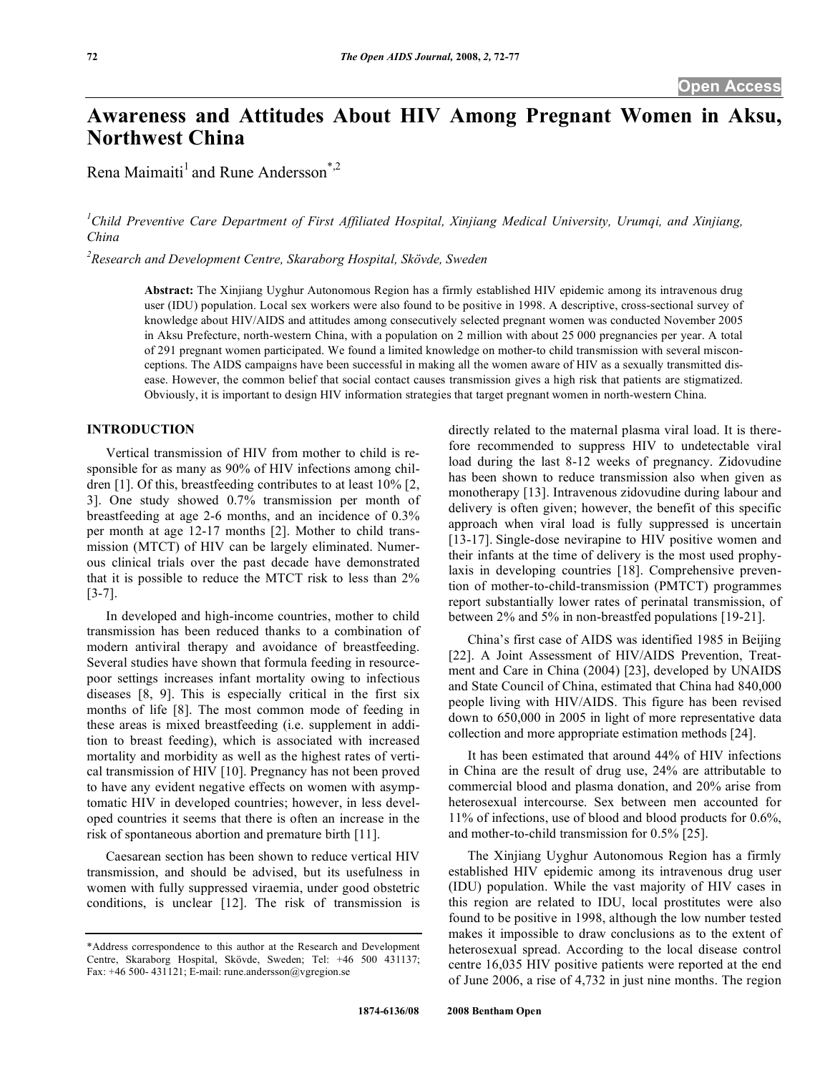# **Awareness and Attitudes About HIV Among Pregnant Women in Aksu, Northwest China**

Rena Maimaiti<sup>1</sup> and Rune Andersson<sup>\*,2</sup>

<sup>1</sup>Child Preventive Care Department of First Affiliated Hospital, Xinjiang Medical University, Urumqi, and Xinjiang, *China* 

*2 Research and Development Centre, Skaraborg Hospital, Skövde, Sweden* 

**Abstract:** The Xinjiang Uyghur Autonomous Region has a firmly established HIV epidemic among its intravenous drug user (IDU) population. Local sex workers were also found to be positive in 1998. A descriptive, cross-sectional survey of knowledge about HIV/AIDS and attitudes among consecutively selected pregnant women was conducted November 2005 in Aksu Prefecture, north-western China, with a population on 2 million with about 25 000 pregnancies per year. A total of 291 pregnant women participated. We found a limited knowledge on mother-to child transmission with several misconceptions. The AIDS campaigns have been successful in making all the women aware of HIV as a sexually transmitted disease. However, the common belief that social contact causes transmission gives a high risk that patients are stigmatized. Obviously, it is important to design HIV information strategies that target pregnant women in north-western China.

## **INTRODUCTION**

 Vertical transmission of HIV from mother to child is responsible for as many as 90% of HIV infections among children [1]. Of this, breastfeeding contributes to at least 10% [2, 3]. One study showed 0.7% transmission per month of breastfeeding at age 2-6 months, and an incidence of 0.3% per month at age 12-17 months [2]. Mother to child transmission (MTCT) of HIV can be largely eliminated. Numerous clinical trials over the past decade have demonstrated that it is possible to reduce the MTCT risk to less than 2% [3-7].

 In developed and high-income countries, mother to child transmission has been reduced thanks to a combination of modern antiviral therapy and avoidance of breastfeeding. Several studies have shown that formula feeding in resourcepoor settings increases infant mortality owing to infectious diseases [8, 9]. This is especially critical in the first six months of life [8]. The most common mode of feeding in these areas is mixed breastfeeding (i.e. supplement in addition to breast feeding), which is associated with increased mortality and morbidity as well as the highest rates of vertical transmission of HIV [10]. Pregnancy has not been proved to have any evident negative effects on women with asymptomatic HIV in developed countries; however, in less developed countries it seems that there is often an increase in the risk of spontaneous abortion and premature birth [11].

 Caesarean section has been shown to reduce vertical HIV transmission, and should be advised, but its usefulness in women with fully suppressed viraemia, under good obstetric conditions, is unclear [12]. The risk of transmission is directly related to the maternal plasma viral load. It is therefore recommended to suppress HIV to undetectable viral load during the last 8-12 weeks of pregnancy. Zidovudine has been shown to reduce transmission also when given as monotherapy [13]. Intravenous zidovudine during labour and delivery is often given; however, the benefit of this specific approach when viral load is fully suppressed is uncertain [13-17]. Single-dose nevirapine to HIV positive women and their infants at the time of delivery is the most used prophylaxis in developing countries [18]. Comprehensive prevention of mother-to-child-transmission (PMTCT) programmes report substantially lower rates of perinatal transmission, of between 2% and 5% in non-breastfed populations [19-21].

 China's first case of AIDS was identified 1985 in Beijing [22]. A Joint Assessment of HIV/AIDS Prevention, Treatment and Care in China (2004) [23], developed by UNAIDS and State Council of China, estimated that China had 840,000 people living with HIV/AIDS. This figure has been revised down to 650,000 in 2005 in light of more representative data collection and more appropriate estimation methods [24].

 It has been estimated that around 44% of HIV infections in China are the result of drug use, 24% are attributable to commercial blood and plasma donation, and 20% arise from heterosexual intercourse. Sex between men accounted for 11% of infections, use of blood and blood products for 0.6%, and mother-to-child transmission for 0.5% [25].

 The Xinjiang Uyghur Autonomous Region has a firmly established HIV epidemic among its intravenous drug user (IDU) population. While the vast majority of HIV cases in this region are related to IDU, local prostitutes were also found to be positive in 1998, although the low number tested makes it impossible to draw conclusions as to the extent of heterosexual spread. According to the local disease control centre 16,035 HIV positive patients were reported at the end of June 2006, a rise of 4,732 in just nine months. The region

<sup>\*</sup>Address correspondence to this author at the Research and Development Centre, Skaraborg Hospital, Skövde, Sweden; Tel: +46 500 431137; Fax: +46 500- 431121; E-mail: rune.andersson@vgregion.se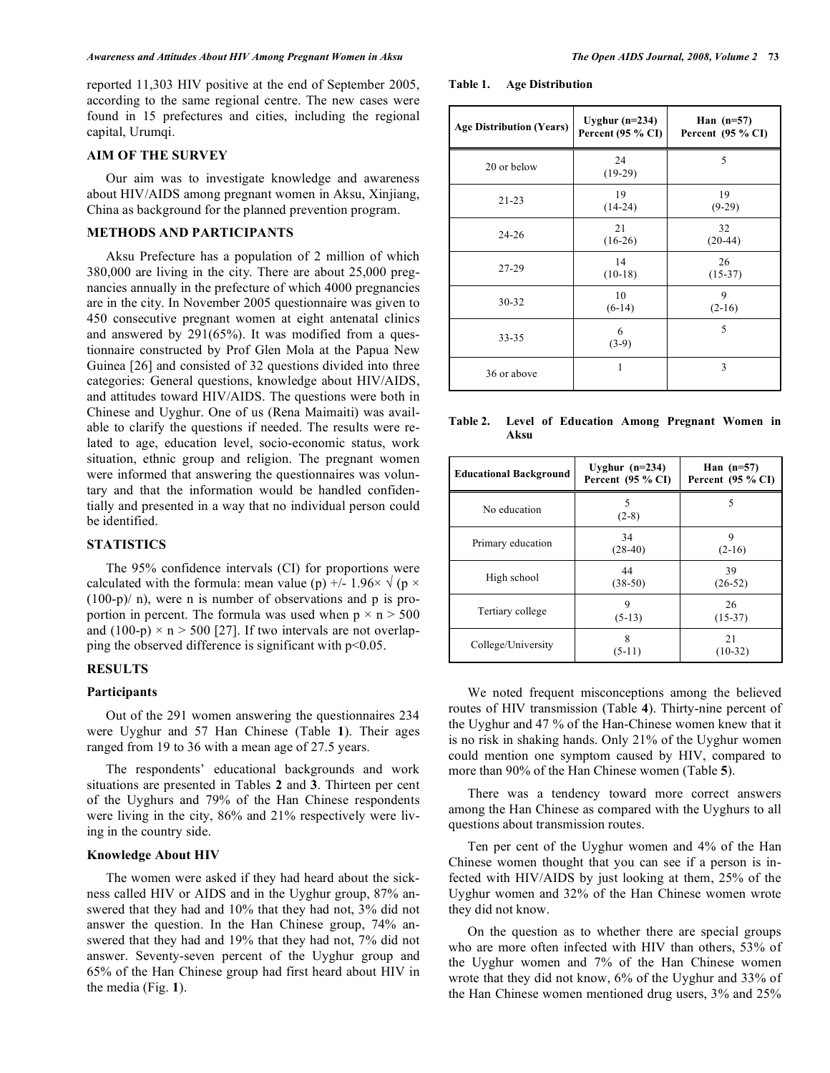reported 11,303 HIV positive at the end of September 2005, according to the same regional centre. The new cases were found in 15 prefectures and cities, including the regional capital, Urumqi.

# **AIM OF THE SURVEY**

 Our aim was to investigate knowledge and awareness about HIV/AIDS among pregnant women in Aksu, Xinjiang, China as background for the planned prevention program.

## **METHODS AND PARTICIPANTS**

 Aksu Prefecture has a population of 2 million of which 380,000 are living in the city. There are about 25,000 pregnancies annually in the prefecture of which 4000 pregnancies are in the city. In November 2005 questionnaire was given to 450 consecutive pregnant women at eight antenatal clinics and answered by 291(65%). It was modified from a questionnaire constructed by Prof Glen Mola at the Papua New Guinea [26] and consisted of 32 questions divided into three categories: General questions, knowledge about HIV/AIDS, and attitudes toward HIV/AIDS. The questions were both in Chinese and Uyghur. One of us (Rena Maimaiti) was available to clarify the questions if needed. The results were related to age, education level, socio-economic status, work situation, ethnic group and religion. The pregnant women were informed that answering the questionnaires was voluntary and that the information would be handled confidentially and presented in a way that no individual person could be identified.

# **STATISTICS**

 The 95% confidence intervals (CI) for proportions were calculated with the formula: mean value (p)  $\pm$  - 1.96 $\times$   $\sqrt{(p \times p)}$  $(100-p)/n$ , were n is number of observations and p is proportion in percent. The formula was used when  $p \times n > 500$ and  $(100-p) \times n > 500$  [27]. If two intervals are not overlapping the observed difference is significant with  $p<0.05$ .

# **RESULTS**

# **Participants**

 Out of the 291 women answering the questionnaires 234 were Uyghur and 57 Han Chinese (Table **1**). Their ages ranged from 19 to 36 with a mean age of 27.5 years.

 The respondents' educational backgrounds and work situations are presented in Tables **2** and **3**. Thirteen per cent of the Uyghurs and 79% of the Han Chinese respondents were living in the city, 86% and 21% respectively were living in the country side.

### **Knowledge About HIV**

 The women were asked if they had heard about the sickness called HIV or AIDS and in the Uyghur group, 87% answered that they had and 10% that they had not, 3% did not answer the question. In the Han Chinese group, 74% answered that they had and 19% that they had not, 7% did not answer. Seventy-seven percent of the Uyghur group and 65% of the Han Chinese group had first heard about HIV in the media (Fig. **1**).

**Table 1. Age Distribution** 

| <b>Age Distribution (Years)</b> | Uyghur $(n=234)$<br>Percent (95 % CI) | Han $(n=57)$<br>Percent (95 % CI) |
|---------------------------------|---------------------------------------|-----------------------------------|
| 20 or below                     | 24<br>$(19-29)$                       | 5                                 |
| $21 - 23$                       | 19<br>$(14-24)$                       | 19<br>$(9-29)$                    |
| $24 - 26$                       | 21<br>$(16-26)$                       | 32<br>$(20-44)$                   |
| $27-29$                         | 14<br>$(10-18)$                       | 26<br>$(15-37)$                   |
| $30 - 32$                       | 10<br>$(6-14)$                        | 9<br>$(2-16)$                     |
| 33-35                           | 6<br>$(3-9)$                          | 5                                 |
| 36 or above                     |                                       | 3                                 |

**Table 2. Level of Education Among Pregnant Women in Aksu** 

| <b>Educational Background</b> | Uyghur $(n=234)$<br>Percent $(95\% \text{ CI})$ | Han $(n=57)$<br>Percent $(95 % CI)$ |
|-------------------------------|-------------------------------------------------|-------------------------------------|
| No education                  | 5<br>$(2-8)$                                    | 5                                   |
| Primary education             | 34<br>$(28-40)$                                 | 9<br>$(2-16)$                       |
| High school                   | 44<br>$(38-50)$                                 | 39<br>$(26-52)$                     |
| Tertiary college              | 9<br>$(5-13)$                                   | 26<br>$(15-37)$                     |
| College/University            | 8<br>$(5-11)$                                   | 21<br>$(10-32)$                     |

 We noted frequent misconceptions among the believed routes of HIV transmission (Table **4**). Thirty-nine percent of the Uyghur and 47 % of the Han-Chinese women knew that it is no risk in shaking hands. Only 21% of the Uyghur women could mention one symptom caused by HIV, compared to more than 90% of the Han Chinese women (Table **5**).

 There was a tendency toward more correct answers among the Han Chinese as compared with the Uyghurs to all questions about transmission routes.

 Ten per cent of the Uyghur women and 4% of the Han Chinese women thought that you can see if a person is infected with HIV/AIDS by just looking at them, 25% of the Uyghur women and 32% of the Han Chinese women wrote they did not know.

 On the question as to whether there are special groups who are more often infected with HIV than others, 53% of the Uyghur women and 7% of the Han Chinese women wrote that they did not know, 6% of the Uyghur and 33% of the Han Chinese women mentioned drug users, 3% and 25%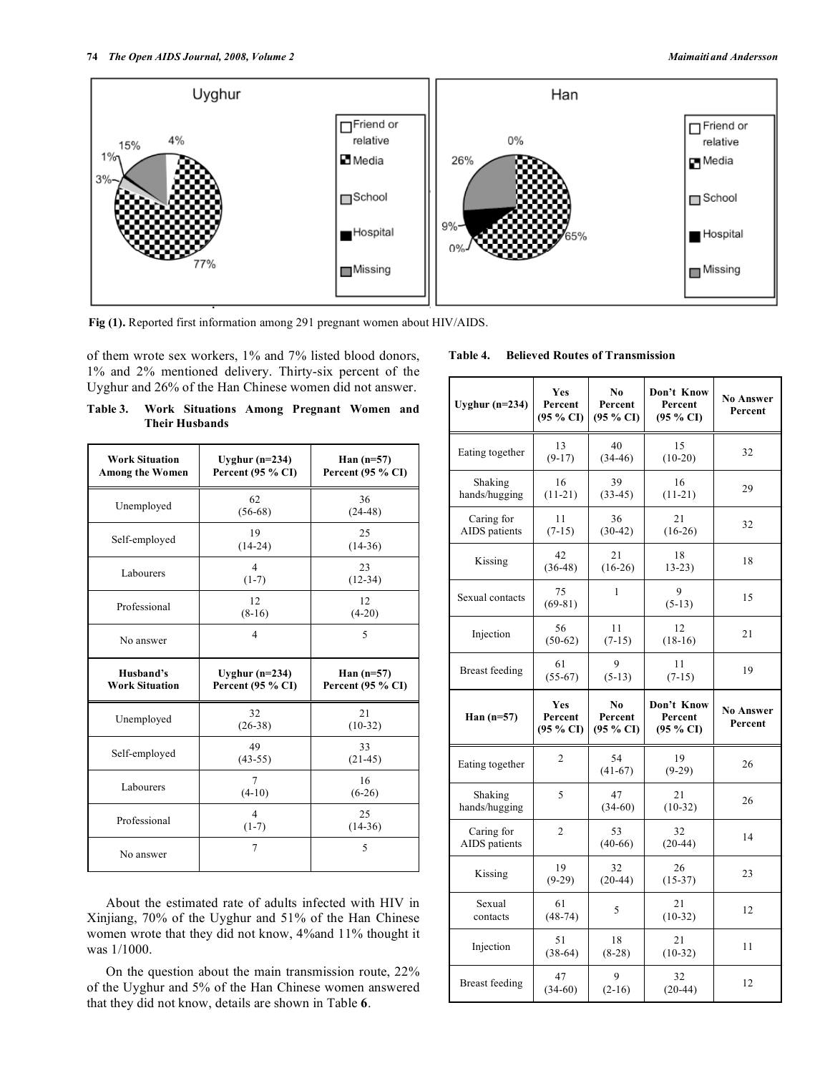

**Fig (1).** Reported first information among 291 pregnant women about HIV/AIDS.

of them wrote sex workers, 1% and 7% listed blood donors, 1% and 2% mentioned delivery. Thirty-six percent of the Uyghur and 26% of the Han Chinese women did not answer.

| Table 3. | Work Situations Among Pregnant Women and |  |  |
|----------|------------------------------------------|--|--|
|          | <b>Their Husbands</b>                    |  |  |

| <b>Work Situation</b><br><b>Among the Women</b> | Uyghur $(n=234)$<br>Percent (95 % CI) | Han $(n=57)$<br>Percent (95 % CI) |
|-------------------------------------------------|---------------------------------------|-----------------------------------|
| Unemployed                                      | 62<br>$(56-68)$                       | 36<br>$(24-48)$                   |
| Self-employed                                   | 19<br>$(14-24)$                       | 25<br>$(14-36)$                   |
| Labourers                                       | $\overline{4}$<br>$(1-7)$             | 23<br>$(12-34)$                   |
| Professional                                    | 12<br>$(8-16)$                        | 12<br>$(4-20)$                    |
| No answer                                       | 4                                     | 5                                 |
|                                                 |                                       |                                   |
| Husband's<br><b>Work Situation</b>              | Uyghur $(n=234)$<br>Percent (95 % CI) | Han $(n=57)$<br>Percent (95 % CI) |
| Unemployed                                      | 32<br>$(26-38)$                       | 21<br>$(10-32)$                   |
| Self-employed                                   | 49<br>$(43-55)$                       | 33<br>$(21-45)$                   |
| Labourers                                       | 7<br>$(4-10)$                         | 16<br>$(6-26)$                    |
| Professional                                    | $\overline{4}$<br>$(1-7)$             | 25<br>$(14-36)$                   |

# About the estimated rate of adults infected with HIV in Xinjiang, 70% of the Uyghur and 51% of the Han Chinese women wrote that they did not know, 4%and 11% thought it was 1/1000.

 On the question about the main transmission route, 22% of the Uyghur and 5% of the Han Chinese women answered that they did not know, details are shown in Table **6**.

| Table 4. |  |  |  | <b>Believed Routes of Transmission</b> |
|----------|--|--|--|----------------------------------------|
|----------|--|--|--|----------------------------------------|

| Uyghur $(n=234)$            | Yes<br>Percent<br>(95 % CI) | No.<br>Percent<br>$(95\% \text{ CI})$ | Don't Know<br>Percent<br>(95 % CI)           | <b>No Answer</b><br>Percent |
|-----------------------------|-----------------------------|---------------------------------------|----------------------------------------------|-----------------------------|
| Eating together             | 13<br>$(9-17)$              | 40<br>$(34-46)$                       | 15<br>$(10-20)$                              | 32                          |
| Shaking<br>hands/hugging    | 16<br>$(11-21)$             | 39<br>$(33-45)$                       | 16<br>$(11-21)$                              | 29                          |
| Caring for<br>AIDS patients | 11<br>$(7-15)$              | 36<br>$(30-42)$                       | 21<br>$(16-26)$                              | 32                          |
| Kissing                     | 42<br>$(36-48)$             | 21<br>$(16-26)$                       | 18<br>$13-23$                                | 18                          |
| Sexual contacts             | 75<br>$(69-81)$             | 1                                     | 9<br>$(5-13)$                                | 15                          |
| Injection                   | 56<br>$(50-62)$             | 11<br>$(7-15)$                        | 12<br>$(18-16)$                              | 21                          |
| <b>Breast feeding</b>       | 61<br>$(55-67)$             | 9<br>$(5-13)$                         | 11<br>$(7-15)$                               | 19                          |
|                             |                             |                                       |                                              |                             |
| Han $(n=57)$                | Yes<br>Percent<br>(95 % CI) | No<br>Percent<br>(95 % CI)            | Don't Know<br>Percent<br>$(95\% \text{ CI})$ | <b>No Answer</b><br>Percent |
| Eating together             | 2                           | 54<br>$(41-67)$                       | 19<br>$(9-29)$                               | 26                          |
| Shaking<br>hands/hugging    | 5                           | 47<br>$(34-60)$                       | 21<br>$(10-32)$                              | 26                          |
| Caring for<br>AIDS patients | $\overline{c}$              | 53<br>$(40-66)$                       | 32<br>$(20-44)$                              | 14                          |
| Kissing                     | 19<br>$(9-29)$              | 32<br>$(20-44)$                       | 26<br>$(15-37)$                              | 23                          |
| Sexual<br>contacts          | 61<br>$(48-74)$             | 5                                     | 21<br>$(10-32)$                              | 12                          |
| Injection                   | 51<br>$(38-64)$             | 18<br>$(8-28)$                        | 21<br>$(10-32)$                              | 11                          |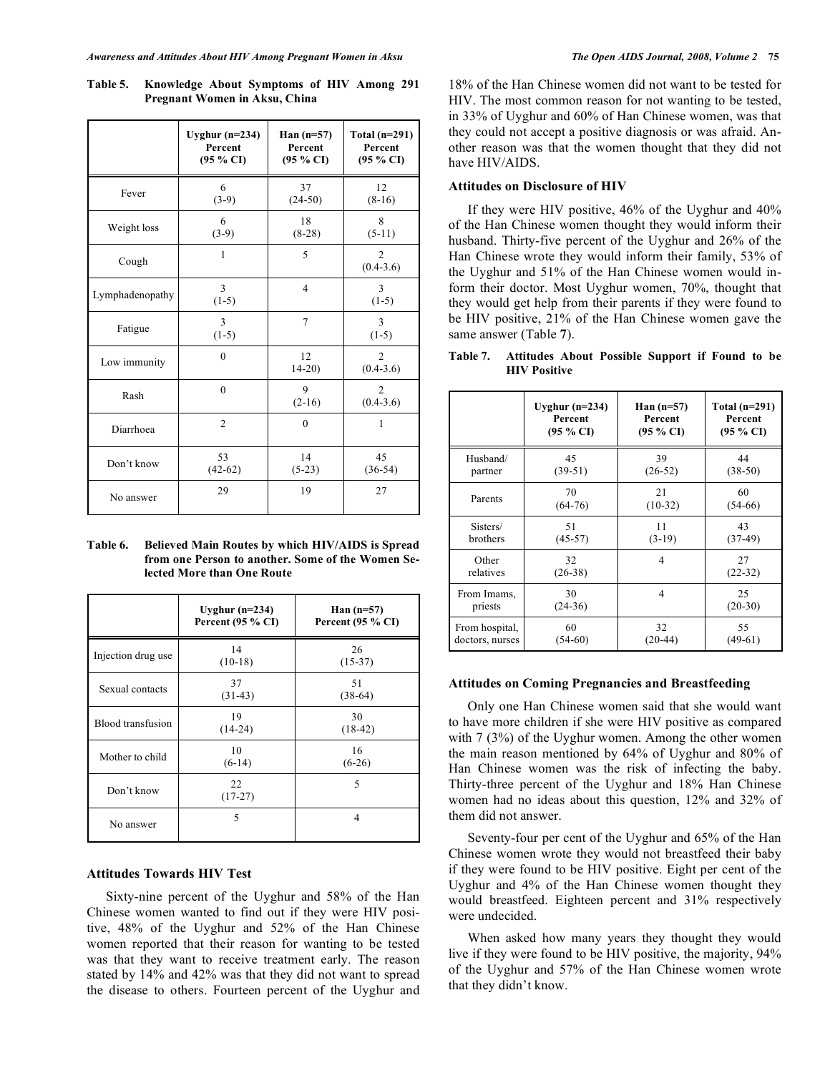|                 | Uyghur $(n=234)$<br>Percent<br>(95 % CI) | Han $(n=57)$<br>Percent<br>$(95\% \text{ CI})$ | Total $(n=291)$<br>Percent<br>$(95\% \text{ CI})$ |
|-----------------|------------------------------------------|------------------------------------------------|---------------------------------------------------|
| Fever           | 6<br>$(3-9)$                             | 37<br>$(24-50)$                                | 12<br>$(8-16)$                                    |
| Weight loss     | 6<br>$(3-9)$                             | 18<br>$(8-28)$                                 | 8<br>$(5-11)$                                     |
| Cough           | $\mathbf{1}$                             | 5                                              | $\overline{c}$<br>$(0.4-3.6)$                     |
| Lymphadenopathy | 3<br>$(1-5)$                             | $\overline{4}$                                 | 3<br>$(1-5)$                                      |
| Fatigue         | 3<br>$(1-5)$                             | 7                                              | 3<br>$(1-5)$                                      |
| Low immunity    | $\theta$                                 | 12<br>$14-20$                                  | $\overline{c}$<br>$(0.4-3.6)$                     |
| Rash            | $\theta$                                 | 9<br>$(2-16)$                                  | 2<br>$(0.4-3.6)$                                  |
| Diarrhoea       | $\overline{2}$                           | $\theta$                                       | 1                                                 |
| Don't know      | 53<br>$(42-62)$                          | 14<br>$(5-23)$                                 | 45<br>$(36-54)$                                   |
| No answer       | 29                                       | 19                                             | 27                                                |

**Table 5. Knowledge About Symptoms of HIV Among 291 Pregnant Women in Aksu, China** 

**Table 6. Believed Main Routes by which HIV/AIDS is Spread from one Person to another. Some of the Women Selected More than One Route** 

|                    | Uyghur $(n=234)$<br>Percent $(95 % C1)$ | Han $(n=57)$<br>Percent $(95 % CI)$ |
|--------------------|-----------------------------------------|-------------------------------------|
| Injection drug use | 14<br>$(10-18)$                         | 26<br>$(15-37)$                     |
| Sexual contacts    | 37<br>$(31-43)$                         | 51<br>$(38-64)$                     |
| Blood transfusion  | 19<br>$(14-24)$                         | 30<br>$(18-42)$                     |
| Mother to child    | 10<br>$(6-14)$                          | 16<br>$(6-26)$                      |
| Don't know         | 22<br>$(17-27)$                         | 5                                   |
| No answer          | 5                                       | 4                                   |

# **Attitudes Towards HIV Test**

 Sixty-nine percent of the Uyghur and 58% of the Han Chinese women wanted to find out if they were HIV positive, 48% of the Uyghur and 52% of the Han Chinese women reported that their reason for wanting to be tested was that they want to receive treatment early. The reason stated by 14% and 42% was that they did not want to spread the disease to others. Fourteen percent of the Uyghur and 18% of the Han Chinese women did not want to be tested for HIV. The most common reason for not wanting to be tested, in 33% of Uyghur and 60% of Han Chinese women, was that they could not accept a positive diagnosis or was afraid. Another reason was that the women thought that they did not have HIV/AIDS.

## **Attitudes on Disclosure of HIV**

 If they were HIV positive, 46% of the Uyghur and 40% of the Han Chinese women thought they would inform their husband. Thirty-five percent of the Uyghur and 26% of the Han Chinese wrote they would inform their family, 53% of the Uyghur and 51% of the Han Chinese women would inform their doctor. Most Uyghur women, 70%, thought that they would get help from their parents if they were found to be HIV positive, 21% of the Han Chinese women gave the same answer (Table **7**).

**Table 7. Attitudes About Possible Support if Found to be HIV Positive** 

|                 | Uyghur $(n=234)$ | Han $(n=57)$   | Total $(n=291)$ |
|-----------------|------------------|----------------|-----------------|
|                 | Percent          | Percent        | Percent         |
|                 | (95 % CI)        | (95 % CI)      | (95 % CI)       |
| Husband/        | 45               | 39             | 44              |
| partner         | $(39-51)$        | $(26-52)$      | $(38-50)$       |
| Parents         | 70               | 21             | 60              |
|                 | $(64-76)$        | $(10-32)$      | $(54-66)$       |
| Sisters/        | 51               | 11             | 43              |
| brothers        | $(45-57)$        | $(3-19)$       | $(37-49)$       |
| Other           | 32               | 4              | 27              |
| relatives       | $(26-38)$        |                | $(22-32)$       |
| From Imams,     | 30               | $\overline{4}$ | 25              |
| priests         | $(24-36)$        |                | $(20-30)$       |
| From hospital,  | 60               | 32             | 55              |
| doctors, nurses | $(54-60)$        | $(20-44)$      | $(49-61)$       |

## **Attitudes on Coming Pregnancies and Breastfeeding**

 Only one Han Chinese women said that she would want to have more children if she were HIV positive as compared with 7 (3%) of the Uyghur women. Among the other women the main reason mentioned by 64% of Uyghur and 80% of Han Chinese women was the risk of infecting the baby. Thirty-three percent of the Uyghur and 18% Han Chinese women had no ideas about this question, 12% and 32% of them did not answer.

 Seventy-four per cent of the Uyghur and 65% of the Han Chinese women wrote they would not breastfeed their baby if they were found to be HIV positive. Eight per cent of the Uyghur and 4% of the Han Chinese women thought they would breastfeed. Eighteen percent and 31% respectively were undecided.

 When asked how many years they thought they would live if they were found to be HIV positive, the majority, 94% of the Uyghur and 57% of the Han Chinese women wrote that they didn't know.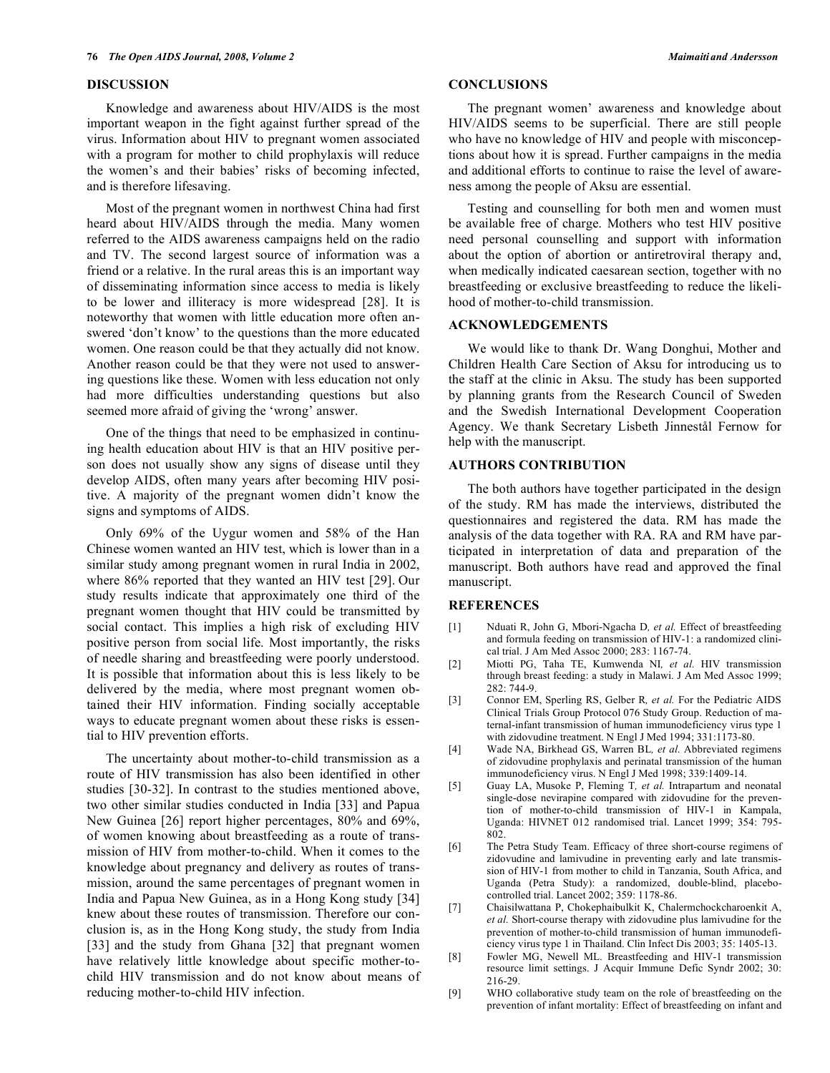#### **DISCUSSION**

 Knowledge and awareness about HIV/AIDS is the most important weapon in the fight against further spread of the virus. Information about HIV to pregnant women associated with a program for mother to child prophylaxis will reduce the women's and their babies' risks of becoming infected, and is therefore lifesaving.

 Most of the pregnant women in northwest China had first heard about HIV/AIDS through the media. Many women referred to the AIDS awareness campaigns held on the radio and TV. The second largest source of information was a friend or a relative. In the rural areas this is an important way of disseminating information since access to media is likely to be lower and illiteracy is more widespread [28]. It is noteworthy that women with little education more often answered 'don't know' to the questions than the more educated women. One reason could be that they actually did not know. Another reason could be that they were not used to answering questions like these. Women with less education not only had more difficulties understanding questions but also seemed more afraid of giving the 'wrong' answer.

 One of the things that need to be emphasized in continuing health education about HIV is that an HIV positive person does not usually show any signs of disease until they develop AIDS, often many years after becoming HIV positive. A majority of the pregnant women didn't know the signs and symptoms of AIDS.

 Only 69% of the Uygur women and 58% of the Han Chinese women wanted an HIV test, which is lower than in a similar study among pregnant women in rural India in 2002, where 86% reported that they wanted an HIV test [29]. Our study results indicate that approximately one third of the pregnant women thought that HIV could be transmitted by social contact. This implies a high risk of excluding HIV positive person from social life. Most importantly, the risks of needle sharing and breastfeeding were poorly understood. It is possible that information about this is less likely to be delivered by the media, where most pregnant women obtained their HIV information. Finding socially acceptable ways to educate pregnant women about these risks is essential to HIV prevention efforts.

 The uncertainty about mother-to-child transmission as a route of HIV transmission has also been identified in other studies [30-32]. In contrast to the studies mentioned above, two other similar studies conducted in India [33] and Papua New Guinea [26] report higher percentages, 80% and 69%, of women knowing about breastfeeding as a route of transmission of HIV from mother-to-child. When it comes to the knowledge about pregnancy and delivery as routes of transmission, around the same percentages of pregnant women in India and Papua New Guinea, as in a Hong Kong study [34] knew about these routes of transmission. Therefore our conclusion is, as in the Hong Kong study, the study from India [33] and the study from Ghana [32] that pregnant women have relatively little knowledge about specific mother-tochild HIV transmission and do not know about means of reducing mother-to-child HIV infection.

# **CONCLUSIONS**

 The pregnant women' awareness and knowledge about HIV/AIDS seems to be superficial. There are still people who have no knowledge of HIV and people with misconceptions about how it is spread. Further campaigns in the media and additional efforts to continue to raise the level of awareness among the people of Aksu are essential.

 Testing and counselling for both men and women must be available free of charge. Mothers who test HIV positive need personal counselling and support with information about the option of abortion or antiretroviral therapy and, when medically indicated caesarean section, together with no breastfeeding or exclusive breastfeeding to reduce the likelihood of mother-to-child transmission.

#### **ACKNOWLEDGEMENTS**

 We would like to thank Dr. Wang Donghui, Mother and Children Health Care Section of Aksu for introducing us to the staff at the clinic in Aksu. The study has been supported by planning grants from the Research Council of Sweden and the Swedish International Development Cooperation Agency. We thank Secretary Lisbeth Jinnestål Fernow for help with the manuscript.

## **AUTHORS CONTRIBUTION**

 The both authors have together participated in the design of the study. RM has made the interviews, distributed the questionnaires and registered the data. RM has made the analysis of the data together with RA. RA and RM have participated in interpretation of data and preparation of the manuscript. Both authors have read and approved the final manuscript.

### **REFERENCES**

- [1] Nduati R, John G, Mbori-Ngacha D*, et al.* Effect of breastfeeding and formula feeding on transmission of HIV-1: a randomized clinical trial. J Am Med Assoc 2000; 283: 1167-74.
- [2] Miotti PG, Taha TE, Kumwenda NI*, et al.* HIV transmission through breast feeding: a study in Malawi. J Am Med Assoc 1999; 282: 744-9.
- [3] Connor EM, Sperling RS, Gelber R, et al. For the Pediatric AIDS Clinical Trials Group Protocol 076 Study Group. Reduction of maternal-infant transmission of human immunodeficiency virus type 1 with zidovudine treatment. N Engl J Med 1994; 331:1173-80.
- [4] Wade NA, Birkhead GS, Warren BL*, et al.* Abbreviated regimens of zidovudine prophylaxis and perinatal transmission of the human immunodeficiency virus. N Engl J Med 1998; 339:1409-14.
- [5] Guay LA, Musoke P, Fleming T*, et al.* Intrapartum and neonatal single-dose nevirapine compared with zidovudine for the prevention of mother-to-child transmission of HIV-1 in Kampala, Uganda: HIVNET 012 randomised trial. Lancet 1999; 354: 795- 802.
- [6] The Petra Study Team. Efficacy of three short-course regimens of zidovudine and lamivudine in preventing early and late transmission of HIV-1 from mother to child in Tanzania, South Africa, and Uganda (Petra Study): a randomized, double-blind, placebocontrolled trial. Lancet 2002; 359: 1178-86.
- [7] Chaisilwattana P, Chokephaibulkit K, Chalermchockcharoenkit A, *et al.* Short-course therapy with zidovudine plus lamivudine for the prevention of mother-to-child transmission of human immunodeficiency virus type 1 in Thailand. Clin Infect Dis 2003; 35: 1405-13.
- [8] Fowler MG, Newell ML. Breastfeeding and HIV-1 transmission resource limit settings. J Acquir Immune Defic Syndr 2002; 30: 216-29.
- [9] WHO collaborative study team on the role of breastfeeding on the prevention of infant mortality: Effect of breastfeeding on infant and